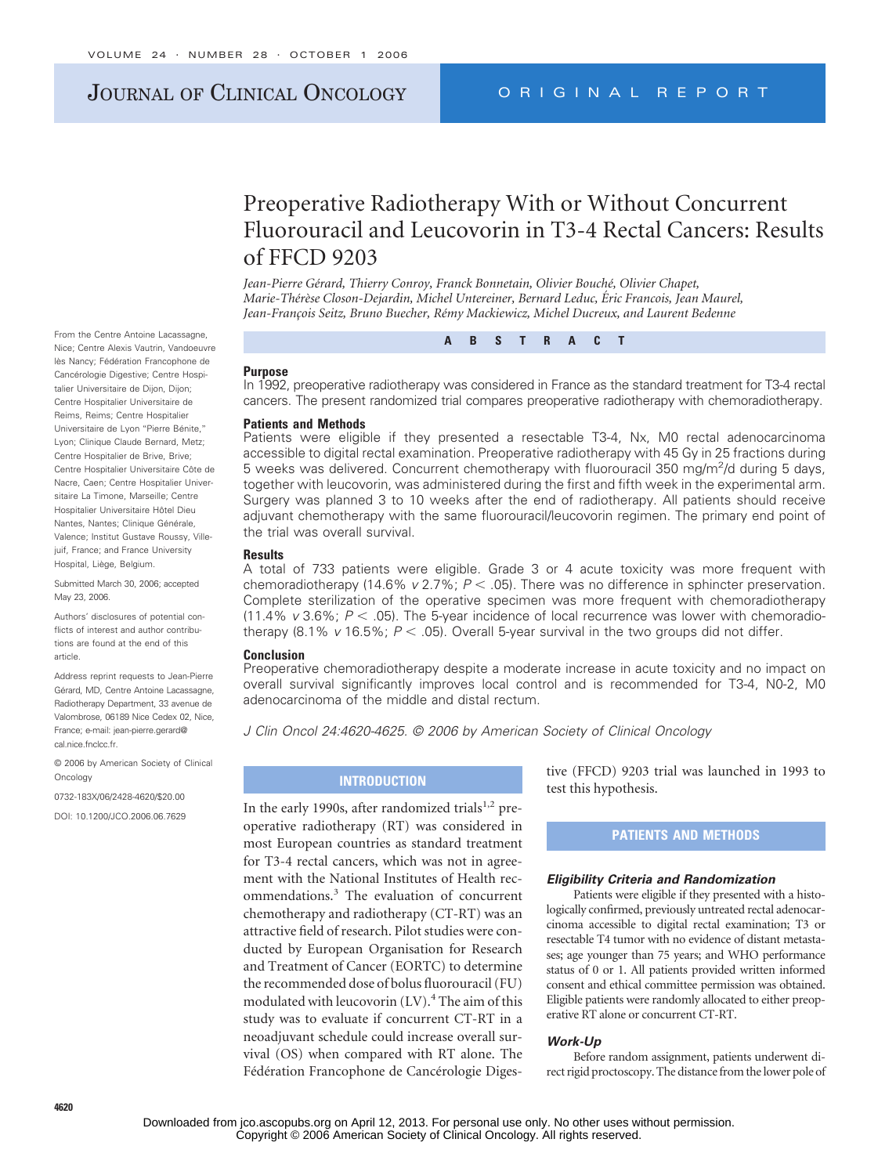# JOURNAL OF CLINICAL ONCOLOGY ORIGINAL REPORT

# Preoperative Radiotherapy With or Without Concurrent Fluorouracil and Leucovorin in T3-4 Rectal Cancers: Results of FFCD 9203

*Jean-Pierre Gérard, Thierry Conroy, Franck Bonnetain, Olivier Bouché, Olivier Chapet, Marie-Thérèse Closon-Dejardin, Michel Untereiner, Bernard Leduc, E´ric Francois, Jean Maurel,* Jean-François Seitz, Bruno Buecher, Rémy Mackiewicz, Michel Ducreux, and Laurent Bedenne

From the Centre Antoine Lacassagne, Nice; Centre Alexis Vautrin, Vandoeuvre lès Nancy; Fédération Francophone de Cancérologie Digestive; Centre Hospitalier Universitaire de Dijon, Dijon; Centre Hospitalier Universitaire de Reims, Reims; Centre Hospitalier Universitaire de Lyon "Pierre Bénite," Lyon; Clinique Claude Bernard, Metz; Centre Hospitalier de Brive, Brive; Centre Hospitalier Universitaire Côte de Nacre, Caen; Centre Hospitalier Universitaire La Timone, Marseille; Centre Hospitalier Universitaire Hôtel Dieu Nantes, Nantes; Clinique Générale, Valence; Institut Gustave Roussy, Villejuif, France; and France University Hospital, Liège, Belgium.

Submitted March 30, 2006; accepted May 23, 2006.

Authors' disclosures of potential conflicts of interest and author contributions are found at the end of this article.

Address reprint requests to Jean-Pierre Gérard, MD, Centre Antoine Lacassagne, Radiotherapy Department, 33 avenue de Valombrose, 06189 Nice Cedex 02, Nice, France; e-mail: jean-pierre.gerard@ cal.nice.fnclcc.fr.

© 2006 by American Society of Clinical **Oncology** 

0732-183X/06/2428-4620/\$20.00

DOI: 10.1200/JCO.2006.06.7629

#### **Purpose**

In 1992, preoperative radiotherapy was considered in France as the standard treatment for T3-4 rectal cancers. The present randomized trial compares preoperative radiotherapy with chemoradiotherapy.

**ABSTRACT**

#### **Patients and Methods**

Patients were eligible if they presented a resectable T3-4, Nx, M0 rectal adenocarcinoma accessible to digital rectal examination. Preoperative radiotherapy with 45 Gy in 25 fractions during 5 weeks was delivered. Concurrent chemotherapy with fluorouracil 350 mg/m<sup>2</sup>/d during 5 days, together with leucovorin, was administered during the first and fifth week in the experimental arm. Surgery was planned 3 to 10 weeks after the end of radiotherapy. All patients should receive adjuvant chemotherapy with the same fluorouracil/leucovorin regimen. The primary end point of the trial was overall survival.

#### **Results**

A total of 733 patients were eligible. Grade 3 or 4 acute toxicity was more frequent with chemoradiotherapy (14.6% *v* 2.7%;  $P < .05$ ). There was no difference in sphincter preservation. Complete sterilization of the operative specimen was more frequent with chemoradiotherapy  $(11.4\% \text{ v } 3.6\%; P < .05)$ . The 5-year incidence of local recurrence was lower with chemoradiotherapy  $(8.1\% \text{ v } 16.5\%; P < .05)$ . Overall 5-year survival in the two groups did not differ.

#### **Conclusion**

Preoperative chemoradiotherapy despite a moderate increase in acute toxicity and no impact on overall survival significantly improves local control and is recommended for T3-4, N0-2, M0 adenocarcinoma of the middle and distal rectum.

*J Clin Oncol 24:4620-4625. © 2006 by American Society of Clinical Oncology*

### **INTRODUCTION**

In the early 1990s, after randomized trials $1,2$  preoperative radiotherapy (RT) was considered in most European countries as standard treatment for T3-4 rectal cancers, which was not in agreement with the National Institutes of Health recommendations.<sup>3</sup> The evaluation of concurrent chemotherapy and radiotherapy (CT-RT) was an attractive field of research. Pilot studies were conducted by European Organisation for Research and Treatment of Cancer (EORTC) to determine the recommended dose of bolus fluorouracil (FU) modulated with leucovorin  $(LV)$ .<sup>4</sup> The aim of this study was to evaluate if concurrent CT-RT in a neoadjuvant schedule could increase overall survival (OS) when compared with RT alone. The Fédération Francophone de Cancérologie Digestive (FFCD) 9203 trial was launched in 1993 to test this hypothesis.

# **PATIENTS AND METHODS**

### *Eligibility Criteria and Randomization*

Patients were eligible if they presented with a histologically confirmed, previously untreated rectal adenocarcinoma accessible to digital rectal examination; T3 or resectable T4 tumor with no evidence of distant metastases; age younger than 75 years; and WHO performance status of 0 or 1. All patients provided written informed consent and ethical committee permission was obtained. Eligible patients were randomly allocated to either preoperative RT alone or concurrent CT-RT.

#### *Work-Up*

Before random assignment, patients underwent direct rigid proctoscopy. The distance from the lower pole of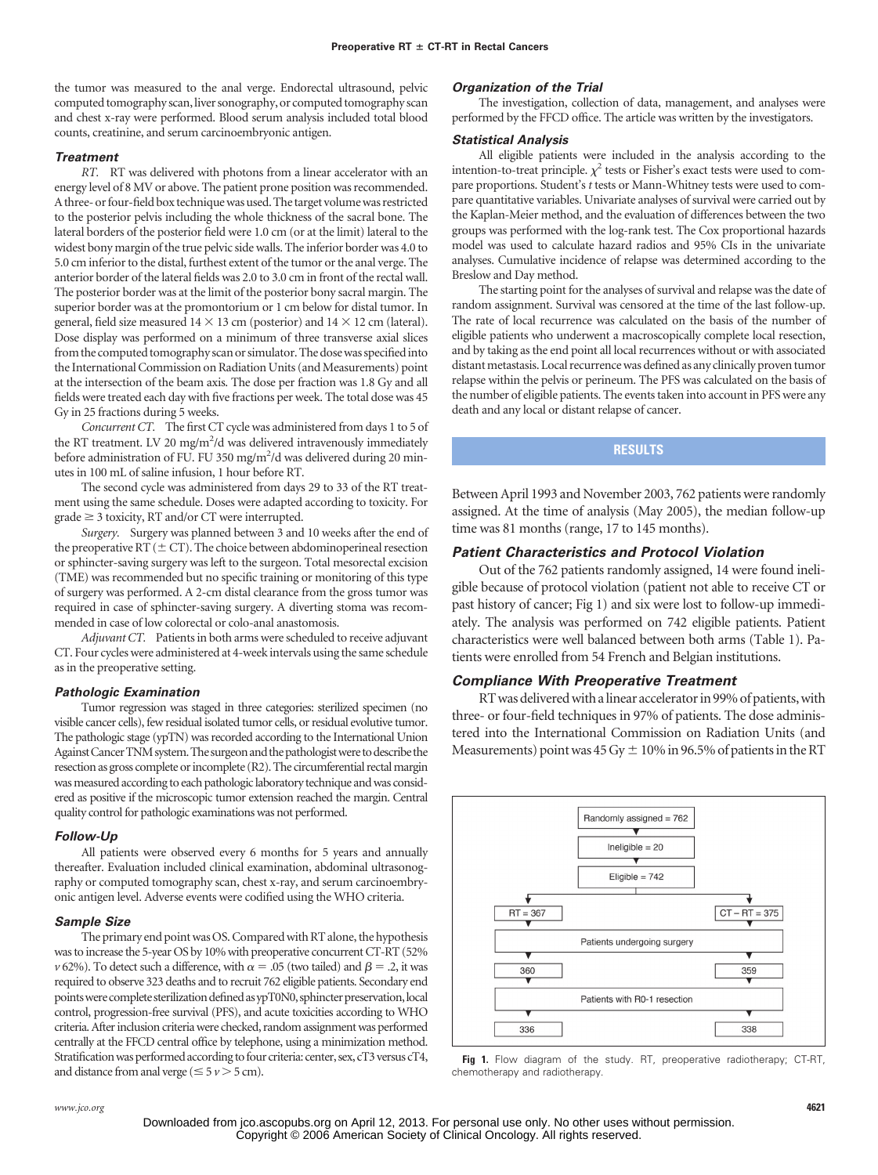the tumor was measured to the anal verge. Endorectal ultrasound, pelvic computed tomography scan, liver sonography, or computed tomography scan and chest x-ray were performed. Blood serum analysis included total blood counts, creatinine, and serum carcinoembryonic antigen.

### *Treatment*

*RT.* RT was delivered with photons from a linear accelerator with an energy level of 8 MV or above. The patient prone position was recommended. A three- or four-field box technique was used. The target volume was restricted to the posterior pelvis including the whole thickness of the sacral bone. The lateral borders of the posterior field were 1.0 cm (or at the limit) lateral to the widest bony margin of the true pelvic side walls. The inferior border was 4.0 to 5.0 cm inferior to the distal, furthest extent of the tumor or the anal verge. The anterior border of the lateral fields was 2.0 to 3.0 cm in front of the rectal wall. The posterior border was at the limit of the posterior bony sacral margin. The superior border was at the promontorium or 1 cm below for distal tumor. In general, field size measured  $14 \times 13$  cm (posterior) and  $14 \times 12$  cm (lateral). Dose display was performed on a minimum of three transverse axial slices from the computed tomography scan or simulator.The dosewas specifiedinto the International Commission on Radiation Units (and Measurements) point at the intersection of the beam axis. The dose per fraction was 1.8 Gy and all fields were treated each day with five fractions per week. The total dose was 45 Gy in 25 fractions during 5 weeks.

*Concurrent CT.* The first CT cycle was administered from days 1 to 5 of the RT treatment. LV 20 mg/m<sup>2</sup>/d was delivered intravenously immediately before administration of FU. FU 350 mg/m<sup>2</sup>/d was delivered during 20 minutes in 100 mL of saline infusion, 1 hour before RT.

The second cycle was administered from days 29 to 33 of the RT treatment using the same schedule. Doses were adapted according to toxicity. For  $grade \geq 3$  toxicity, RT and/or CT were interrupted.

*Surgery.* Surgery was planned between 3 and 10 weeks after the end of the preoperative RT ( $\pm$  CT). The choice between abdominoperineal resection or sphincter-saving surgery was left to the surgeon. Total mesorectal excision (TME) was recommended but no specific training or monitoring of this type of surgery was performed. A 2-cm distal clearance from the gross tumor was required in case of sphincter-saving surgery. A diverting stoma was recommended in case of low colorectal or colo-anal anastomosis.

*Adjuvant CT.* Patients in both arms were scheduled to receive adjuvant CT. Four cycles were administered at 4-week intervals using the same schedule as in the preoperative setting.

### *Pathologic Examination*

Tumor regression was staged in three categories: sterilized specimen (no visible cancer cells), few residual isolated tumor cells, or residual evolutive tumor. The pathologic stage (ypTN) was recorded according to the International Union Against Cancer TNM system. The surgeon and the pathologist were to describe the resection as gross complete or incomplete (R2). The circumferential rectal margin was measured according to each pathologic laboratory technique and was considered as positive if the microscopic tumor extension reached the margin. Central quality control for pathologic examinations was not performed.

### *Follow-Up*

All patients were observed every 6 months for 5 years and annually thereafter. Evaluation included clinical examination, abdominal ultrasonography or computed tomography scan, chest x-ray, and serum carcinoembryonic antigen level. Adverse events were codified using the WHO criteria.

### *Sample Size*

The primary end point was OS. Compared with RT alone, the hypothesis was to increase the 5-year OS by 10% with preoperative concurrent CT-RT (52%  $\nu$  62%). To detect such a difference, with  $\alpha = .05$  (two tailed) and  $\beta = .2$ , it was required to observe 323 deaths and to recruit 762 eligible patients. Secondary end points were complete sterilization defined as ypT0N0, sphincter preservation, local control, progression-free survival (PFS), and acute toxicities according to WHO criteria. After inclusion criteria were checked, random assignment was performed centrally at the FFCD central office by telephone, using a minimization method. Stratification was performed according to four criteria: center, sex, cT3 versus cT4, and distance from anal verge ( $\leq 5$   $\nu$   $>$  5 cm).

### *Organization of the Trial*

The investigation, collection of data, management, and analyses were performed by the FFCD office. The article was written by the investigators.

#### *Statistical Analysis*

All eligible patients were included in the analysis according to the intention-to-treat principle.  $\chi^2$  tests or Fisher's exact tests were used to compare proportions. Student's *t* tests or Mann-Whitney tests were used to compare quantitative variables. Univariate analyses of survival were carried out by the Kaplan-Meier method, and the evaluation of differences between the two groups was performed with the log-rank test. The Cox proportional hazards model was used to calculate hazard radios and 95% CIs in the univariate analyses. Cumulative incidence of relapse was determined according to the Breslow and Day method.

The starting point for the analyses of survival and relapse was the date of random assignment. Survival was censored at the time of the last follow-up. The rate of local recurrence was calculated on the basis of the number of eligible patients who underwent a macroscopically complete local resection, and by taking as the end point all local recurrences without or with associated distant metastasis. Local recurrence was defined as any clinically proven tumor relapse within the pelvis or perineum. The PFS was calculated on the basis of the number of eligible patients. The events taken into account in PFS were any death and any local or distant relapse of cancer.

### **RESULTS**

Between April 1993 and November 2003, 762 patients were randomly assigned. At the time of analysis (May 2005), the median follow-up time was 81 months (range, 17 to 145 months).

### *Patient Characteristics and Protocol Violation*

Out of the 762 patients randomly assigned, 14 were found ineligible because of protocol violation (patient not able to receive CT or past history of cancer; Fig 1) and six were lost to follow-up immediately. The analysis was performed on 742 eligible patients. Patient characteristics were well balanced between both arms (Table 1). Patients were enrolled from 54 French and Belgian institutions.

### *Compliance With Preoperative Treatment*

RT was delivered with a linear accelerator in 99% of patients, with three- or four-field techniques in 97% of patients. The dose administered into the International Commission on Radiation Units (and Measurements) point was  $45 \text{ Gy} \pm 10\%$  in 96.5% of patients in the RT



**Fig 1.** Flow diagram of the study. RT, preoperative radiotherapy; CT-RT, chemotherapy and radiotherapy.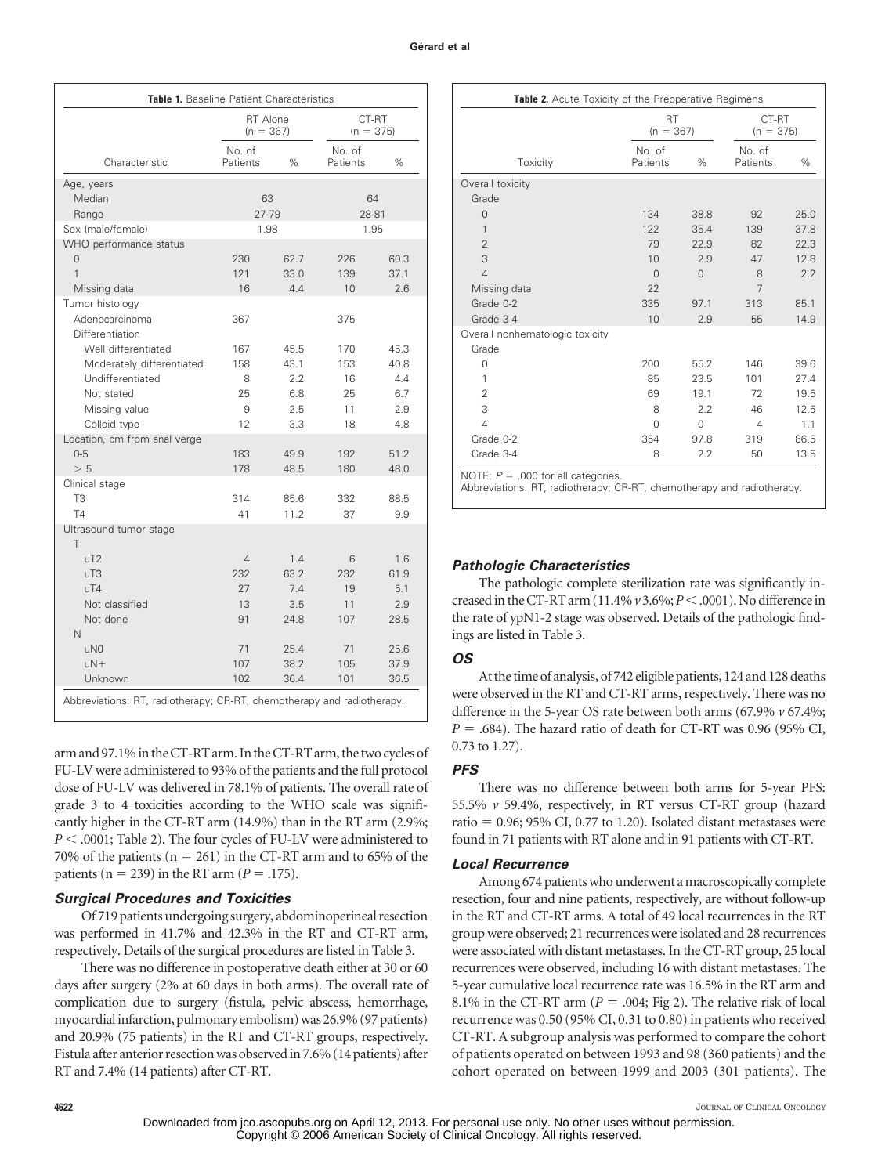|                                                      |                    | RT Alone<br>$(n = 367)$ | CT-RT<br>$(n = 375)$ |       |  |
|------------------------------------------------------|--------------------|-------------------------|----------------------|-------|--|
| Characteristic                                       | No. of<br>Patients | $\%$                    | No. of<br>Patients   | %     |  |
| Age, years                                           |                    |                         |                      |       |  |
| Median                                               |                    | 63                      |                      | 64    |  |
| Range                                                |                    | 27-79                   |                      | 28-81 |  |
| Sex (male/female)                                    |                    | 1.98                    |                      | 1.95  |  |
| WHO performance status                               |                    |                         |                      |       |  |
| 0                                                    | 230                | 62.7                    | 226                  | 60.3  |  |
| $\mathbf{1}$                                         | 121                | 33.0                    | 139                  | 37.1  |  |
| Missing data                                         | 16                 | 4.4                     | 10                   | 2.6   |  |
| Tumor histology<br>Adenocarcinoma<br>Differentiation | 367                |                         | 375                  |       |  |
| Well differentiated                                  | 167                | 45.5                    | 170                  | 45.3  |  |
| Moderately differentiated                            | 158                | 43.1                    | 153                  | 40.8  |  |
| Undifferentiated                                     | 8                  | 2.2                     | 16                   | 4.4   |  |
| Not stated                                           | 25                 | 6.8                     | 25                   | 6.7   |  |
| Missing value                                        | 9                  | 2.5                     | 11                   | 2.9   |  |
| Colloid type                                         | 12                 | 3.3                     | 18                   | 4.8   |  |
| Location, cm from anal verge                         |                    |                         |                      |       |  |
| $0 - 5$                                              | 183                | 49.9                    | 192                  | 51.2  |  |
| > 5                                                  | 178                | 48.5                    | 180                  | 48.0  |  |
| Clinical stage                                       |                    |                         |                      |       |  |
| T3                                                   | 314                | 85.6                    | 332                  | 88.5  |  |
| T4                                                   | 41                 | 11.2                    | 37                   | 9.9   |  |
| Ultrasound tumor stage<br>T                          |                    |                         |                      |       |  |
| uT <sub>2</sub>                                      | $\overline{4}$     | 1.4                     | 6                    | 1.6   |  |
| uT3                                                  | 232                | 63.2                    | 232                  | 61.9  |  |
| $U$ T4                                               | 27                 | 7.4                     | 19                   | 5.1   |  |
| Not classified                                       | 13                 | 3.5                     | 11                   | 2.9   |  |
| Not done                                             | 91                 | 24.8                    | 107                  | 28.5  |  |
| N                                                    |                    |                         |                      |       |  |
| uN <sub>0</sub>                                      | 71                 | 25.4                    | 71                   | 25.6  |  |
| $uN+$                                                | 107                | 38.2                    | 105                  | 37.9  |  |
| Unknown                                              | 102                | 36.4                    | 101                  | 36.5  |  |

arm and 97.1% in the CT-RT arm. In the CT-RT arm, the two cycles of FU-LV were administered to 93% of the patients and the full protocol dose of FU-LV was delivered in 78.1% of patients. The overall rate of grade 3 to 4 toxicities according to the WHO scale was significantly higher in the CT-RT arm (14.9%) than in the RT arm (2.9%; *P* < .0001; Table 2). The four cycles of FU-LV were administered to 70% of the patients ( $n = 261$ ) in the CT-RT arm and to 65% of the patients ( $n = 239$ ) in the RT arm ( $P = .175$ ).

# *Surgical Procedures and Toxicities*

Of 719 patients undergoing surgery, abdominoperineal resection was performed in 41.7% and 42.3% in the RT and CT-RT arm, respectively. Details of the surgical procedures are listed in Table 3.

There was no difference in postoperative death either at 30 or 60 days after surgery (2% at 60 days in both arms). The overall rate of complication due to surgery (fistula, pelvic abscess, hemorrhage, myocardial infarction, pulmonary embolism) was 26.9% (97 patients) and 20.9% (75 patients) in the RT and CT-RT groups, respectively. Fistula after anterior resectionwas observedin 7.6% (14 patients) after RT and 7.4% (14 patients) after CT-RT.

|                                          | <b>RT</b>          |                | CT-RT<br>$(n = 375)$ |      |  |
|------------------------------------------|--------------------|----------------|----------------------|------|--|
|                                          | $(n = 367)$        |                |                      |      |  |
| Toxicity                                 | No. of<br>Patients | %              | No. of<br>Patients   | %    |  |
| Overall toxicity                         |                    |                |                      |      |  |
| Grade                                    |                    |                |                      |      |  |
| $\overline{0}$                           | 134                | 38.8           | 92                   | 25.0 |  |
| 1                                        | 122                | 35.4           | 139                  | 37.8 |  |
| $\overline{2}$                           | 79                 | 22.9           | 82                   | 22.3 |  |
| 3                                        | 10                 | 2.9            | 47                   | 12.8 |  |
| $\overline{4}$                           | $\Omega$           | $\overline{0}$ | 8                    | 2.2  |  |
| Missing data                             | 22                 |                | 7                    |      |  |
| Grade 0-2                                | 335                | 97.1           | 313                  | 85.1 |  |
| Grade 3-4                                | 10                 | 2.9            | 55                   | 14.9 |  |
| Overall nonhematologic toxicity<br>Grade |                    |                |                      |      |  |
| 0                                        | 200                | 55.2           | 146                  | 39.6 |  |
| 1                                        | 85                 | 23.5           | 101                  | 27.4 |  |
| $\overline{2}$                           | 69                 | 19.1           | 72                   | 19.5 |  |
| 3                                        | 8                  | 2.2            | 46                   | 12.5 |  |
| $\overline{4}$                           | $\Omega$           | 0              | 4                    | 1.1  |  |
| Grade 0-2                                | 354                | 97.8           | 319                  | 86.5 |  |
| Grade 3-4                                | 8                  | 2.2            | 50                   | 13.5 |  |

NOTE:  $P = 0.000$  for all categories.

Abbreviations: RT, radiotherapy; CR-RT, chemotherapy and radiotherapy.

# *Pathologic Characteristics*

The pathologic complete sterilization rate was significantly increased in the CT-RT arm  $(11.4\% \nu 3.6\%; P \leq .0001)$ . No difference in the rate of ypN1-2 stage was observed. Details of the pathologic findings are listed in Table 3.

# *OS*

At the time of analysis, of 742 eligible patients, 124 and 128 deaths were observed in the RT and CT-RT arms, respectively. There was no difference in the 5-year OS rate between both arms (67.9% *v* 67.4%;  $P = .684$ ). The hazard ratio of death for CT-RT was 0.96 (95% CI, 0.73 to 1.27).

# *PFS*

There was no difference between both arms for 5-year PFS: 55.5% *v* 59.4%, respectively, in RT versus CT-RT group (hazard ratio  $= 0.96$ ; 95% CI, 0.77 to 1.20). Isolated distant metastases were found in 71 patients with RT alone and in 91 patients with CT-RT.

### *Local Recurrence*

Among 674 patients who underwent a macroscopically complete resection, four and nine patients, respectively, are without follow-up in the RT and CT-RT arms. A total of 49 local recurrences in the RT group were observed; 21 recurrences were isolated and 28 recurrences were associated with distant metastases. In the CT-RT group, 25 local recurrences were observed, including 16 with distant metastases. The 5-year cumulative local recurrence rate was 16.5% in the RT arm and 8.1% in the CT-RT arm  $(P = .004; Fig 2)$ . The relative risk of local recurrence was 0.50 (95% CI, 0.31 to 0.80) in patients who received CT-RT. A subgroup analysis was performed to compare the cohort of patients operated on between 1993 and 98 (360 patients) and the cohort operated on between 1999 and 2003 (301 patients). The

Downloaded from jco.ascopubs.org on April 12, 2013. For personal use only. No other uses without permission. Copyright © 2006 American Society of Clinical Oncology. All rights reserved.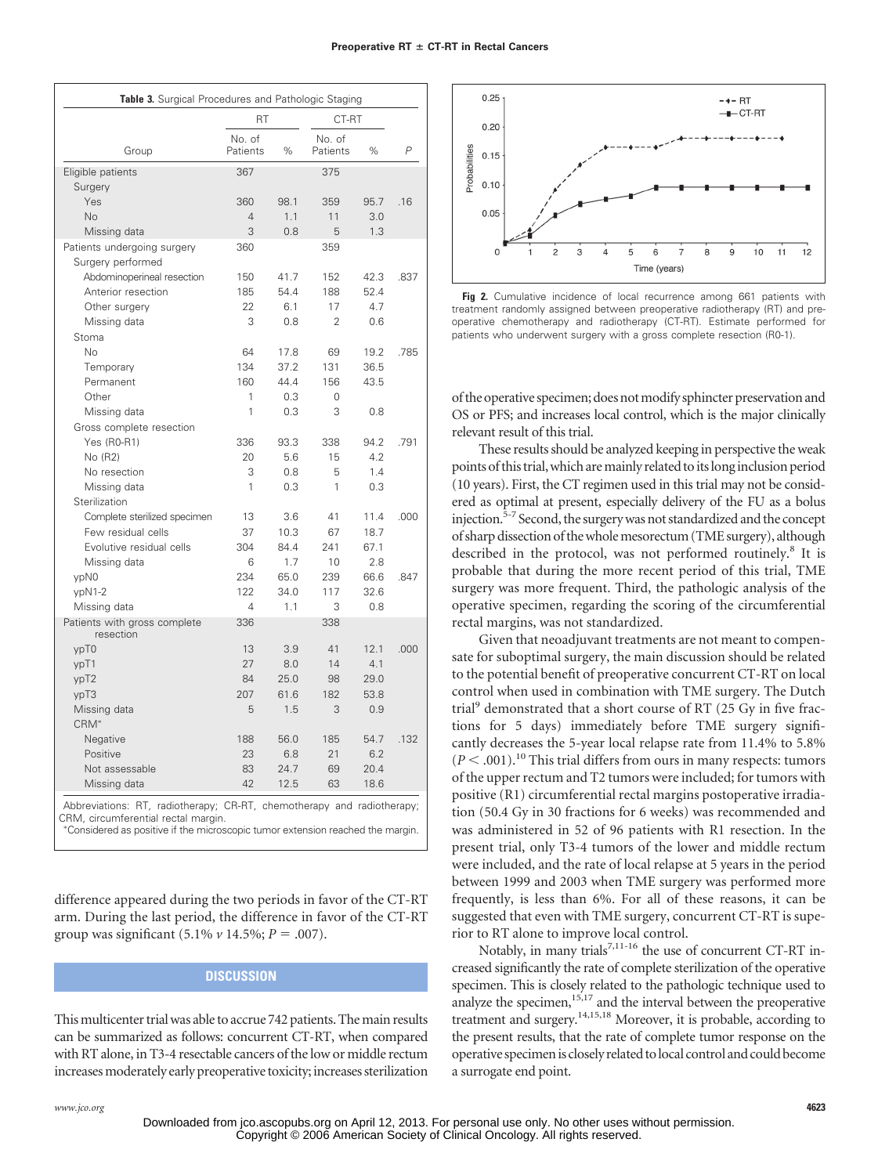| Table 3. Surgical Procedures and Pathologic Staging |                    |      |                    |      |                |  |  |  |  |
|-----------------------------------------------------|--------------------|------|--------------------|------|----------------|--|--|--|--|
|                                                     | <b>RT</b>          |      | CT-RT              |      |                |  |  |  |  |
| Group                                               | No. of<br>Patients | $\%$ | No. of<br>Patients | $\%$ | $\overline{P}$ |  |  |  |  |
| Eligible patients                                   | 367                |      | 375                |      |                |  |  |  |  |
| Surgery                                             |                    |      |                    |      |                |  |  |  |  |
| Yes                                                 | 360                | 98.1 | 359                | 95.7 | .16            |  |  |  |  |
| No                                                  | $\overline{4}$     | 1.1  | 11                 | 3.0  |                |  |  |  |  |
| Missing data                                        | 3                  | 0.8  | 5                  | 1.3  |                |  |  |  |  |
| Patients undergoing surgery                         | 360                |      | 359                |      |                |  |  |  |  |
| Surgery performed                                   |                    |      |                    |      |                |  |  |  |  |
| Abdominoperineal resection                          | 150                | 41.7 | 152                | 42.3 | .837           |  |  |  |  |
| Anterior resection                                  | 185                | 54.4 | 188                | 52.4 |                |  |  |  |  |
| Other surgery                                       | 22                 | 6.1  | 17                 | 4.7  |                |  |  |  |  |
| Missing data                                        | 3                  | 0.8  | $\overline{2}$     | 0.6  |                |  |  |  |  |
| Stoma                                               |                    |      |                    |      |                |  |  |  |  |
| <b>No</b>                                           | 64                 | 17.8 | 69                 | 19.2 | .785           |  |  |  |  |
| Temporary                                           | 134                | 37.2 | 131                | 36.5 |                |  |  |  |  |
| Permanent                                           | 160                | 44.4 | 156                | 43.5 |                |  |  |  |  |
| Other                                               | 1                  | 0.3  | 0                  |      |                |  |  |  |  |
| Missing data                                        | 1                  | 0.3  | 3                  | 0.8  |                |  |  |  |  |
| Gross complete resection                            |                    |      |                    |      |                |  |  |  |  |
| <b>Yes (R0-R1)</b>                                  | 336                | 93.3 | 338                | 94.2 | .791           |  |  |  |  |
| No (R2)                                             | 20                 | 5.6  | 15                 | 4.2  |                |  |  |  |  |
| No resection                                        | 3                  | 0.8  | 5                  | 1.4  |                |  |  |  |  |
| Missing data                                        | 1                  | 0.3  | 1                  | 0.3  |                |  |  |  |  |
| Sterilization                                       |                    |      |                    |      |                |  |  |  |  |
| Complete sterilized specimen                        | 13                 | 3.6  | 41                 | 11.4 | .000           |  |  |  |  |
| Few residual cells                                  | 37                 | 10.3 | 67                 | 18.7 |                |  |  |  |  |
| Evolutive residual cells                            | 304                | 84.4 | 241                | 67.1 |                |  |  |  |  |
| Missing data                                        | 6                  | 1.7  | 10                 | 2.8  |                |  |  |  |  |
| ypN0                                                | 234                | 65.0 | 239                | 66.6 | .847           |  |  |  |  |
| ypN1-2                                              | 122                | 34.0 | 117                | 32.6 |                |  |  |  |  |
| Missing data                                        | 4                  | 1.1  | 3                  | 0.8  |                |  |  |  |  |
| Patients with gross complete<br>resection           | 336                |      | 338                |      |                |  |  |  |  |
| ypT0                                                | 13                 | 3.9  | 41                 | 12.1 | .000           |  |  |  |  |
| ypT1                                                | 27                 | 8.0  | 14                 | 4.1  |                |  |  |  |  |
| ypT2                                                | 84                 | 25.0 | 98                 | 29.0 |                |  |  |  |  |
| ypT3                                                | 207                | 61.6 | 182                | 53.8 |                |  |  |  |  |
| Missing data                                        | 5                  | 1.5  | 3                  | 0.9  |                |  |  |  |  |
| $CRM^*$                                             |                    |      |                    |      |                |  |  |  |  |
| Negative                                            | 188                | 56.0 | 185                | 54.7 | .132           |  |  |  |  |
| Positive                                            | 23                 | 6.8  | 21                 | 6.2  |                |  |  |  |  |
| Not assessable                                      | 83                 | 24.7 | 69                 | 20.4 |                |  |  |  |  |
| Missing data                                        | 42                 | 12.5 | 63                 | 18.6 |                |  |  |  |  |
|                                                     |                    |      |                    |      |                |  |  |  |  |

Abbreviations: RT, radiotherapy; CR-RT, chemotherapy and radiotherapy; CRM, circumferential rectal margin.

Considered as positive if the microscopic tumor extension reached the margin.

difference appeared during the two periods in favor of the CT-RT arm. During the last period, the difference in favor of the CT-RT group was significant  $(5.1\% \nu 14.5\%; P = .007)$ .

# **DISCUSSION**

This multicenter trial was able to accrue 742 patients. The main results can be summarized as follows: concurrent CT-RT, when compared with RT alone, in T3-4 resectable cancers of the low or middle rectum increasesmoderately early preoperative toxicity; increases sterilization



**Fig 2.** Cumulative incidence of local recurrence among 661 patients with treatment randomly assigned between preoperative radiotherapy (RT) and preoperative chemotherapy and radiotherapy (CT-RT). Estimate performed for patients who underwent surgery with a gross complete resection (R0-1).

of the operative specimen; does notmodify sphincter preservation and OS or PFS; and increases local control, which is the major clinically relevant result of this trial.

These results should be analyzed keeping in perspective the weak points of this trial, which are mainly related to its long inclusion period (10 years). First, the CT regimen used in this trial may not be considered as optimal at present, especially delivery of the FU as a bolus injection.5-7 Second, the surgerywas not standardized and the concept of sharp dissection of thewholemesorectum (TME surgery), although described in the protocol, was not performed routinely.<sup>8</sup> It is probable that during the more recent period of this trial, TME surgery was more frequent. Third, the pathologic analysis of the operative specimen, regarding the scoring of the circumferential rectal margins, was not standardized.

Given that neoadjuvant treatments are not meant to compensate for suboptimal surgery, the main discussion should be related to the potential benefit of preoperative concurrent CT-RT on local control when used in combination with TME surgery. The Dutch trial<sup>9</sup> demonstrated that a short course of RT  $(25 \text{ Gy in five frac-}$ tions for 5 days) immediately before TME surgery significantly decreases the 5-year local relapse rate from 11.4% to 5.8%  $(P < .001).$ <sup>10</sup> This trial differs from ours in many respects: tumors of the upper rectum and T2 tumors were included; for tumors with positive (R1) circumferential rectal margins postoperative irradiation (50.4 Gy in 30 fractions for 6 weeks) was recommended and was administered in 52 of 96 patients with R1 resection. In the present trial, only T3-4 tumors of the lower and middle rectum were included, and the rate of local relapse at 5 years in the period between 1999 and 2003 when TME surgery was performed more frequently, is less than 6%. For all of these reasons, it can be suggested that even with TME surgery, concurrent CT-RT is superior to RT alone to improve local control.

Notably, in many trials<sup>7,11-16</sup> the use of concurrent CT-RT increased significantly the rate of complete sterilization of the operative specimen. This is closely related to the pathologic technique used to analyze the specimen, $15,17$  and the interval between the preoperative treatment and surgery.<sup>14,15,18</sup> Moreover, it is probable, according to the present results, that the rate of complete tumor response on the operative specimenis closely related tolocal control and could become a surrogate end point.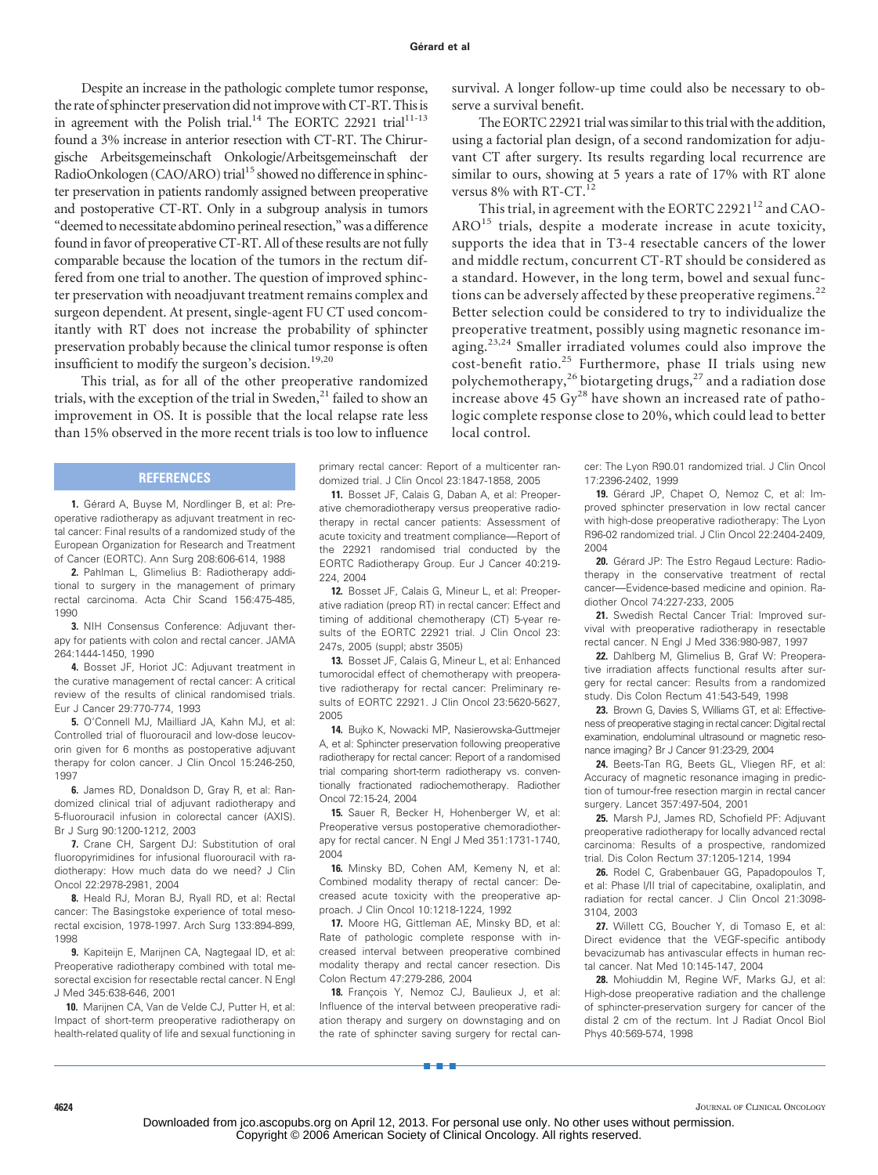primary rectal cancer: Report of a multicenter randomized trial. J Clin Oncol 23:1847-1858, 2005 11. Bosset JF, Calais G, Daban A, et al: Preoperative chemoradiotherapy versus preoperative radiotherapy in rectal cancer patients: Assessment of acute toxicity and treatment compliance—Report of the 22921 randomised trial conducted by the EORTC Radiotherapy Group. Eur J Cancer 40:219-

**12.** Bosset JF, Calais G, Mineur L, et al: Preoperative radiation (preop RT) in rectal cancer: Effect and timing of additional chemotherapy (CT) 5-year results of the EORTC 22921 trial. J Clin Oncol 23:

**13.** Bosset JF, Calais G, Mineur L, et al: Enhanced tumorocidal effect of chemotherapy with preoperative radiotherapy for rectal cancer: Preliminary results of EORTC 22921. J Clin Oncol 23:5620-5627,

**14.** Bujko K, Nowacki MP, Nasierowska-Guttmejer A, et al: Sphincter preservation following preoperative radiotherapy for rectal cancer: Report of a randomised trial comparing short-term radiotherapy vs. conventionally fractionated radiochemotherapy. Radiother

**15.** Sauer R, Becker H, Hohenberger W, et al: Preoperative versus postoperative chemoradiotherapy for rectal cancer. N Engl J Med 351:1731-1740,

**16.** Minsky BD, Cohen AM, Kemeny N, et al: Combined modality therapy of rectal cancer: Decreased acute toxicity with the preoperative approach. J Clin Oncol 10:1218-1224, 1992

**17.** Moore HG, Gittleman AE, Minsky BD, et al: Rate of pathologic complete response with increased interval between preoperative combined modality therapy and rectal cancer resection. Dis

18. Francois Y, Nemoz CJ, Baulieux J, et al: Influence of the interval between preoperative radiation therapy and surgery on downstaging and on the rate of sphincter saving surgery for rectal can-

224, 2004

2005

2004

247s, 2005 (suppl; abstr 3505)

Oncol 72:15-24, 2004

Despite an increase in the pathologic complete tumor response, the rate of sphincter preservation did not improvewith CT-RT. This is in agreement with the Polish trial.<sup>14</sup> The EORTC 22921 trial<sup>11-13</sup> found a 3% increase in anterior resection with CT-RT. The Chirurgische Arbeitsgemeinschaft Onkologie/Arbeitsgemeinschaft der RadioOnkologen (CAO/ARO) trial<sup>15</sup> showed no difference in sphincter preservation in patients randomly assigned between preoperative and postoperative CT-RT. Only in a subgroup analysis in tumors "deemed to necessitate abdomino perineal resection,"was a difference found in favor of preoperative CT-RT. All of these results are not fully comparable because the location of the tumors in the rectum differed from one trial to another. The question of improved sphincter preservation with neoadjuvant treatment remains complex and surgeon dependent. At present, single-agent FU CT used concomitantly with RT does not increase the probability of sphincter preservation probably because the clinical tumor response is often insufficient to modify the surgeon's decision.<sup>19,20</sup>

This trial, as for all of the other preoperative randomized trials, with the exception of the trial in Sweden,<sup>21</sup> failed to show an improvement in OS. It is possible that the local relapse rate less than 15% observed in the more recent trials is too low to influence

### **REFERENCES**

**1.** Gérard A, Buyse M, Nordlinger B, et al: Preoperative radiotherapy as adjuvant treatment in rectal cancer: Final results of a randomized study of the European Organization for Research and Treatment of Cancer (EORTC). Ann Surg 208:606-614, 1988

**2.** Pahlman L, Glimelius B: Radiotherapy additional to surgery in the management of primary rectal carcinoma. Acta Chir Scand 156:475-485, 1990

**3.** NIH Consensus Conference: Adjuvant therapy for patients with colon and rectal cancer. JAMA 264:1444-1450, 1990

**4.** Bosset JF, Horiot JC: Adjuvant treatment in the curative management of rectal cancer: A critical review of the results of clinical randomised trials. Eur J Cancer 29:770-774, 1993

**5.** O'Connell MJ, Mailliard JA, Kahn MJ, et al: Controlled trial of fluorouracil and low-dose leucovorin given for 6 months as postoperative adjuvant therapy for colon cancer. J Clin Oncol 15:246-250, 1997

**6.** James RD, Donaldson D, Gray R, et al: Randomized clinical trial of adjuvant radiotherapy and 5-fluorouracil infusion in colorectal cancer (AXIS). Br J Surg 90:1200-1212, 2003

**7.** Crane CH, Sargent DJ: Substitution of oral fluoropyrimidines for infusional fluorouracil with radiotherapy: How much data do we need? J Clin Oncol 22:2978-2981, 2004

**8.** Heald RJ, Moran BJ, Ryall RD, et al: Rectal cancer: The Basingstoke experience of total mesorectal excision, 1978-1997. Arch Surg 133:894-899, 1998

**9.** Kapiteijn E, Marijnen CA, Nagtegaal ID, et al: Preoperative radiotherapy combined with total mesorectal excision for resectable rectal cancer. N Engl J Med 345:638-646, 2001

**10.** Marijnen CA, Van de Velde CJ, Putter H, et al: Impact of short-term preoperative radiotherapy on health-related quality of life and sexual functioning in survival. A longer follow-up time could also be necessary to observe a survival benefit.

The EORTC 22921 trial was similar to this trial with the addition, using a factorial plan design, of a second randomization for adjuvant CT after surgery. Its results regarding local recurrence are similar to ours, showing at 5 years a rate of 17% with RT alone versus 8% with RT-CT.<sup>12</sup>

This trial, in agreement with the EORTC 22921 $^{12}$  and CAO- $ARO<sup>15</sup>$  trials, despite a moderate increase in acute toxicity, supports the idea that in T3-4 resectable cancers of the lower and middle rectum, concurrent CT-RT should be considered as a standard. However, in the long term, bowel and sexual functions can be adversely affected by these preoperative regimens.<sup>22</sup> Better selection could be considered to try to individualize the preoperative treatment, possibly using magnetic resonance imaging.23,24 Smaller irradiated volumes could also improve the  $\cot$ -benefit ratio.<sup>25</sup> Furthermore, phase II trials using new polychemotherapy,<sup>26</sup> biotargeting drugs,<sup>27</sup> and a radiation dose increase above 45  $Gy^{28}$  have shown an increased rate of pathologic complete response close to 20%, which could lead to better local control.

> cer: The Lyon R90.01 randomized trial. J Clin Oncol 17:2396-2402, 1999

**19.** Gérard JP, Chapet O, Nemoz C, et al: Improved sphincter preservation in low rectal cancer with high-dose preoperative radiotherapy: The Lyon R96-02 randomized trial. J Clin Oncol 22:2404-2409, 2004

**20.** Gérard JP: The Estro Regaud Lecture: Radiotherapy in the conservative treatment of rectal cancer—Evidence-based medicine and opinion. Radiother Oncol 74:227-233, 2005

**21.** Swedish Rectal Cancer Trial: Improved survival with preoperative radiotherapy in resectable rectal cancer. N Engl J Med 336:980-987, 1997

**22.** Dahlberg M, Glimelius B, Graf W: Preoperative irradiation affects functional results after surgery for rectal cancer: Results from a randomized study. Dis Colon Rectum 41:543-549, 1998

**23.** Brown G, Davies S, Williams GT, et al: Effectiveness of preoperative staging in rectal cancer: Digital rectal examination, endoluminal ultrasound or magnetic resonance imaging? Br J Cancer 91:23-29, 2004

**24.** Beets-Tan RG, Beets GL, Vliegen RF, et al: Accuracy of magnetic resonance imaging in prediction of tumour-free resection margin in rectal cancer surgery. Lancet 357:497-504, 2001

**25.** Marsh PJ, James RD, Schofield PF: Adjuvant preoperative radiotherapy for locally advanced rectal carcinoma: Results of a prospective, randomized trial. Dis Colon Rectum 37:1205-1214, 1994

**26.** Rodel C, Grabenbauer GG, Papadopoulos T, et al: Phase I/II trial of capecitabine, oxaliplatin, and radiation for rectal cancer. J Clin Oncol 21:3098- 3104, 2003

**27.** Willett CG, Boucher Y, di Tomaso E, et al: Direct evidence that the VEGF-specific antibody bevacizumab has antivascular effects in human rectal cancer. Nat Med 10:145-147, 2004

**28.** Mohiuddin M, Regine WF, Marks GJ, et al: High-dose preoperative radiation and the challenge of sphincter-preservation surgery for cancer of the distal 2 cm of the rectum. Int J Radiat Oncol Biol Phys 40:569-574, 1998

■■■

Colon Rectum 47:279-286, 2004

**4624** JOURNAL OF CLINICAL ONCOLOGY